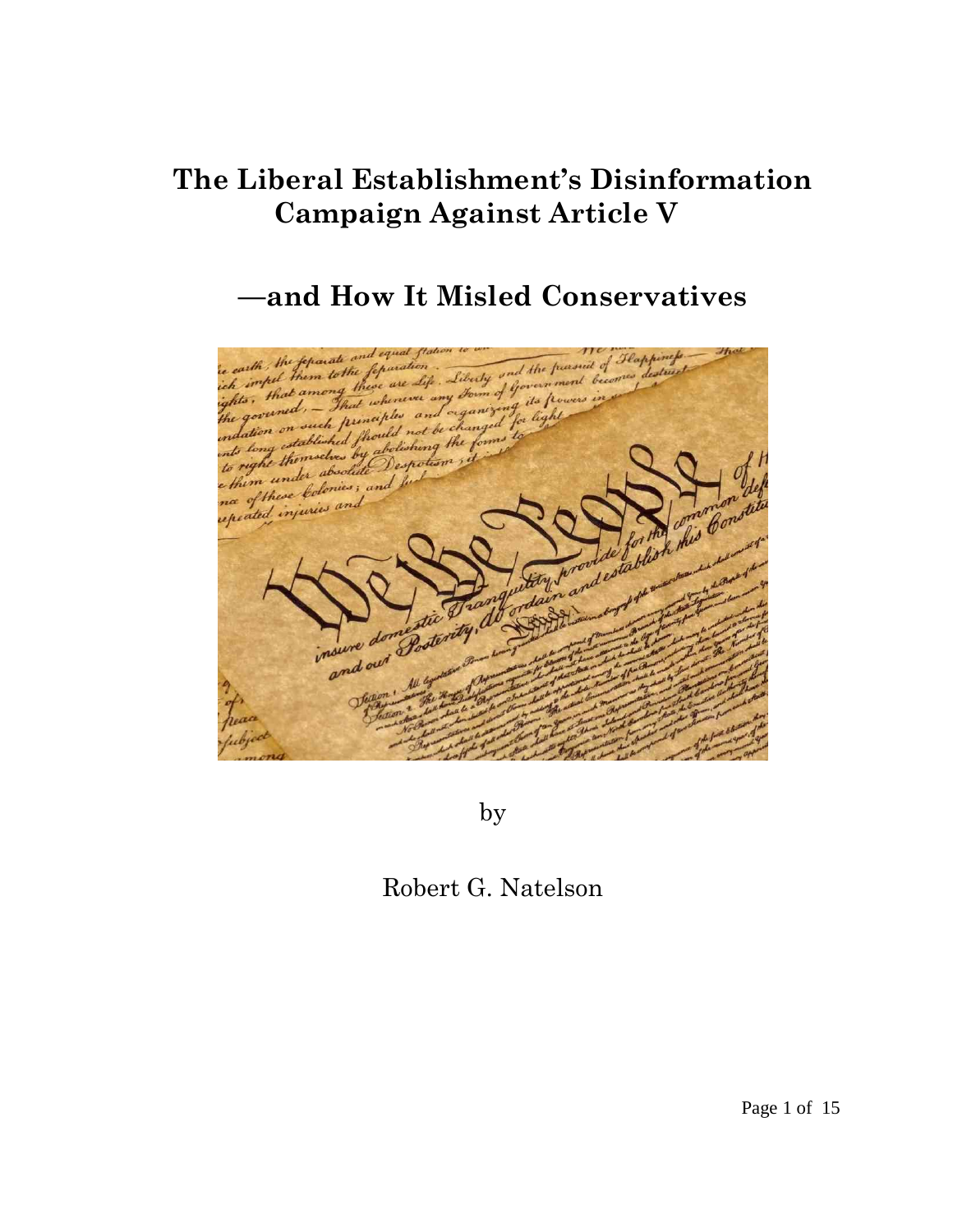# **The Liberal Establishment's Disinformation Campaign Against Article V**

# **—and How It Misled Conservatives**



by

## Robert G. Natelson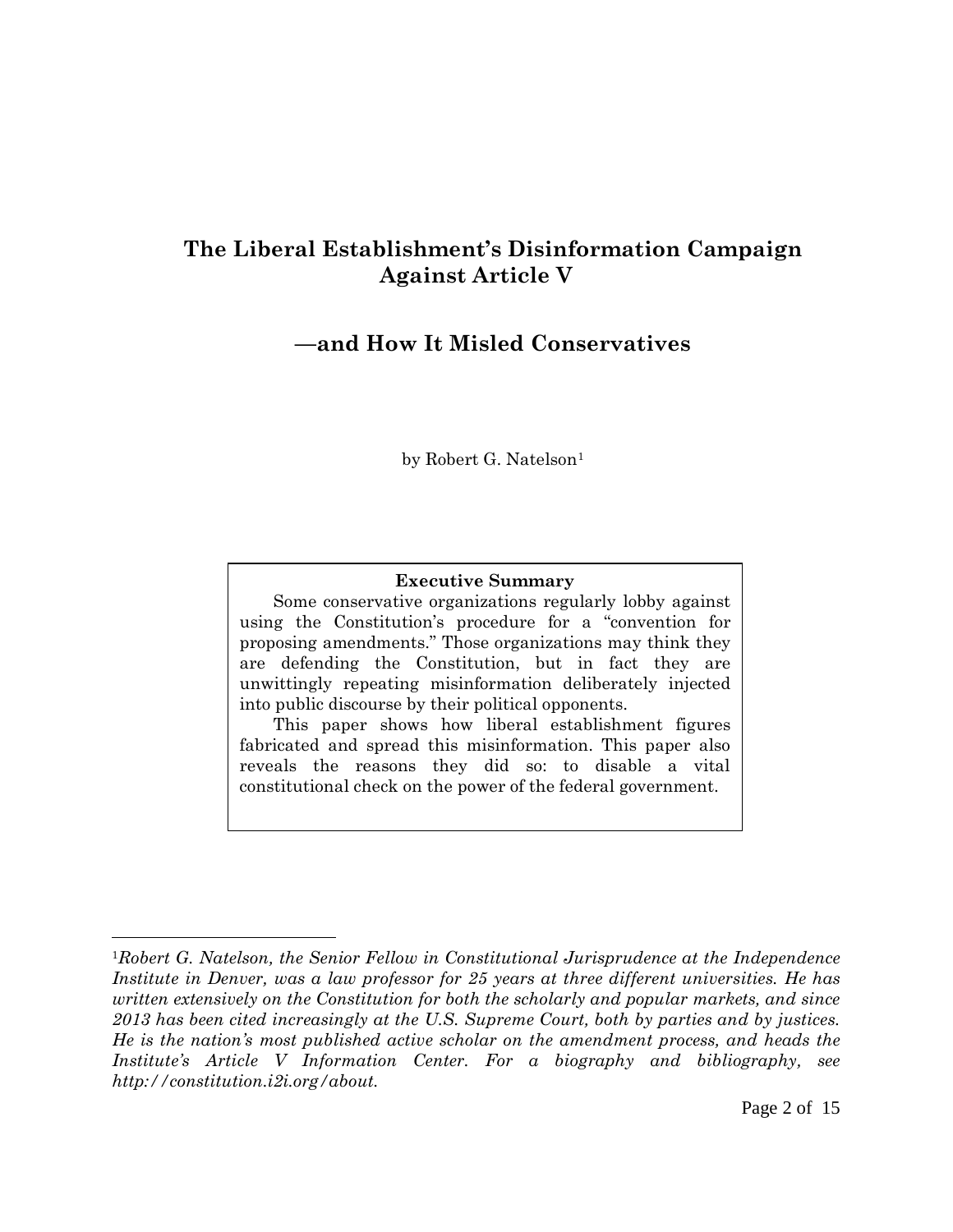## **The Liberal Establishment's Disinformation Campaign Against Article V**

### **—and How It Misled Conservatives**

by Robert G. Natelson<sup>[1](#page-1-0)</sup>

#### **Executive Summary**

Some conservative organizations regularly lobby against using the Constitution's procedure for a "convention for proposing amendments." Those organizations may think they are defending the Constitution, but in fact they are unwittingly repeating misinformation deliberately injected into public discourse by their political opponents.

This paper shows how liberal establishment figures fabricated and spread this misinformation. This paper also reveals the reasons they did so: to disable a vital constitutional check on the power of the federal government.

<span id="page-1-0"></span><sup>1</sup>*Robert G. Natelson, the Senior Fellow in Constitutional Jurisprudence at the Independence Institute in Denver, was a law professor for 25 years at three different universities. He has written extensively on the Constitution for both the scholarly and popular markets, and since 2013 has been cited increasingly at the U.S. Supreme Court, both by parties and by justices. He is the nation's most published active scholar on the amendment process, and heads the Institute's Article V Information Center. For a biography and bibliography, see http://constitution.i2i.org/about.*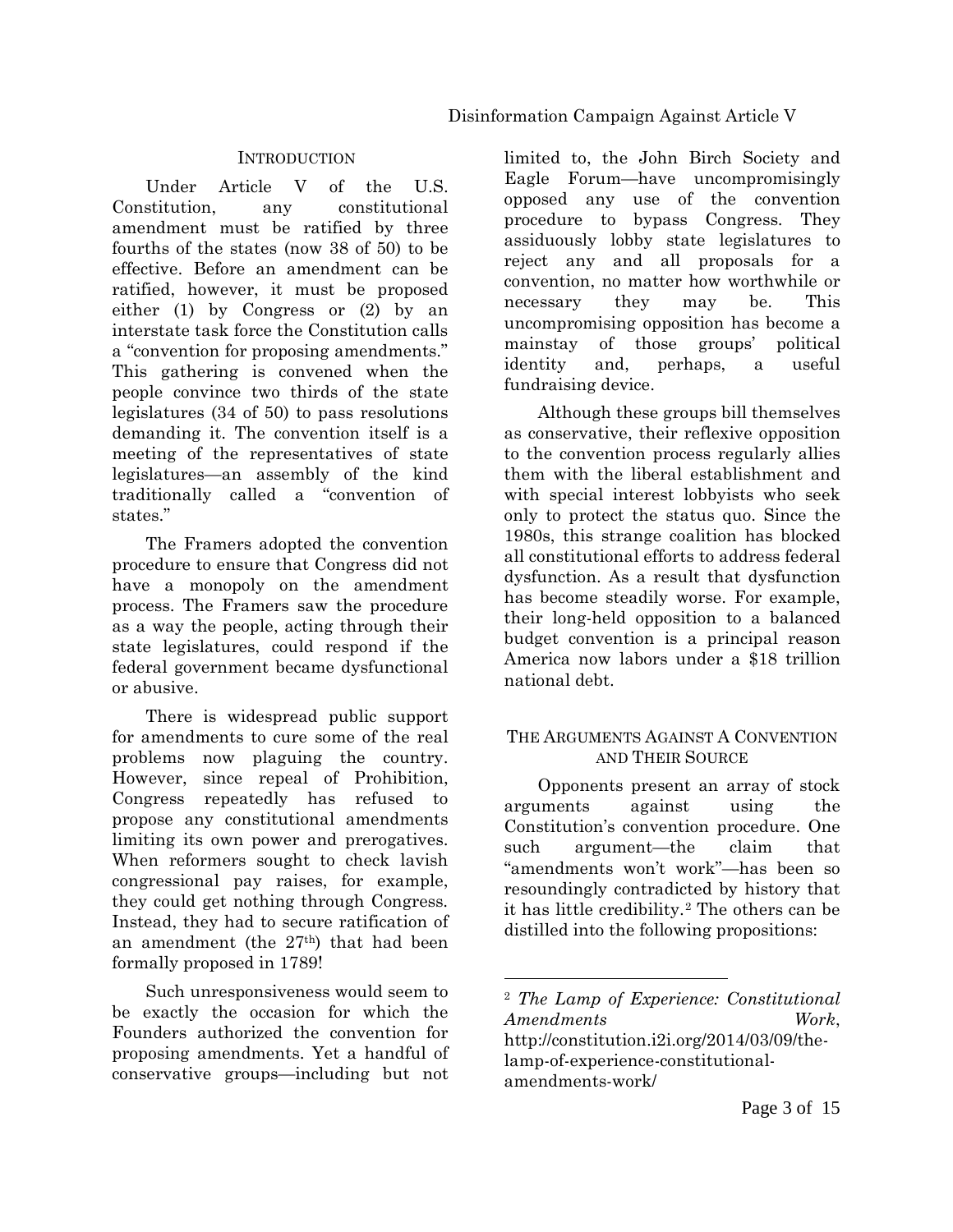#### **INTRODUCTION**

Under Article V of the U.S. Constitution, any constitutional amendment must be ratified by three fourths of the states (now 38 of 50) to be effective. Before an amendment can be ratified, however, it must be proposed either (1) by Congress or (2) by an interstate task force the Constitution calls a "convention for proposing amendments." This gathering is convened when the people convince two thirds of the state legislatures (34 of 50) to pass resolutions demanding it. The convention itself is a meeting of the representatives of state legislatures—an assembly of the kind traditionally called a "convention of states."

The Framers adopted the convention procedure to ensure that Congress did not have a monopoly on the amendment process. The Framers saw the procedure as a way the people, acting through their state legislatures, could respond if the federal government became dysfunctional or abusive.

There is widespread public support for amendments to cure some of the real problems now plaguing the country. However, since repeal of Prohibition, Congress repeatedly has refused to propose any constitutional amendments limiting its own power and prerogatives. When reformers sought to check lavish congressional pay raises, for example, they could get nothing through Congress. Instead, they had to secure ratification of an amendment (the 27th) that had been formally proposed in 1789!

<span id="page-2-0"></span>Such unresponsiveness would seem to be exactly the occasion for which the Founders authorized the convention for proposing amendments. Yet a handful of conservative groups—including but not limited to, the John Birch Society and Eagle Forum—have uncompromisingly opposed any use of the convention procedure to bypass Congress. They assiduously lobby state legislatures to reject any and all proposals for a convention, no matter how worthwhile or necessary they may be. This uncompromising opposition has become a mainstay of those groups' political identity and, perhaps, a useful fundraising device.

Although these groups bill themselves as conservative, their reflexive opposition to the convention process regularly allies them with the liberal establishment and with special interest lobbyists who seek only to protect the status quo. Since the 1980s, this strange coalition has blocked all constitutional efforts to address federal dysfunction. As a result that dysfunction has become steadily worse. For example, their long-held opposition to a balanced budget convention is a principal reason America now labors under a \$18 trillion national debt.

#### THE ARGUMENTS AGAINST A CONVENTION AND THEIR SOURCE

Opponents present an array of stock arguments against using the Constitution's convention procedure. One such argument—the claim that "amendments won't work"—has been so resoundingly contradicted by history that it has little credibility.[2](#page-2-0) The others can be distilled into the following propositions:

<sup>2</sup> *The Lamp of Experience: Constitutional Amendments Work*, http://constitution.i2i.org/2014/03/09/thelamp-of-experience-constitutionalamendments-work/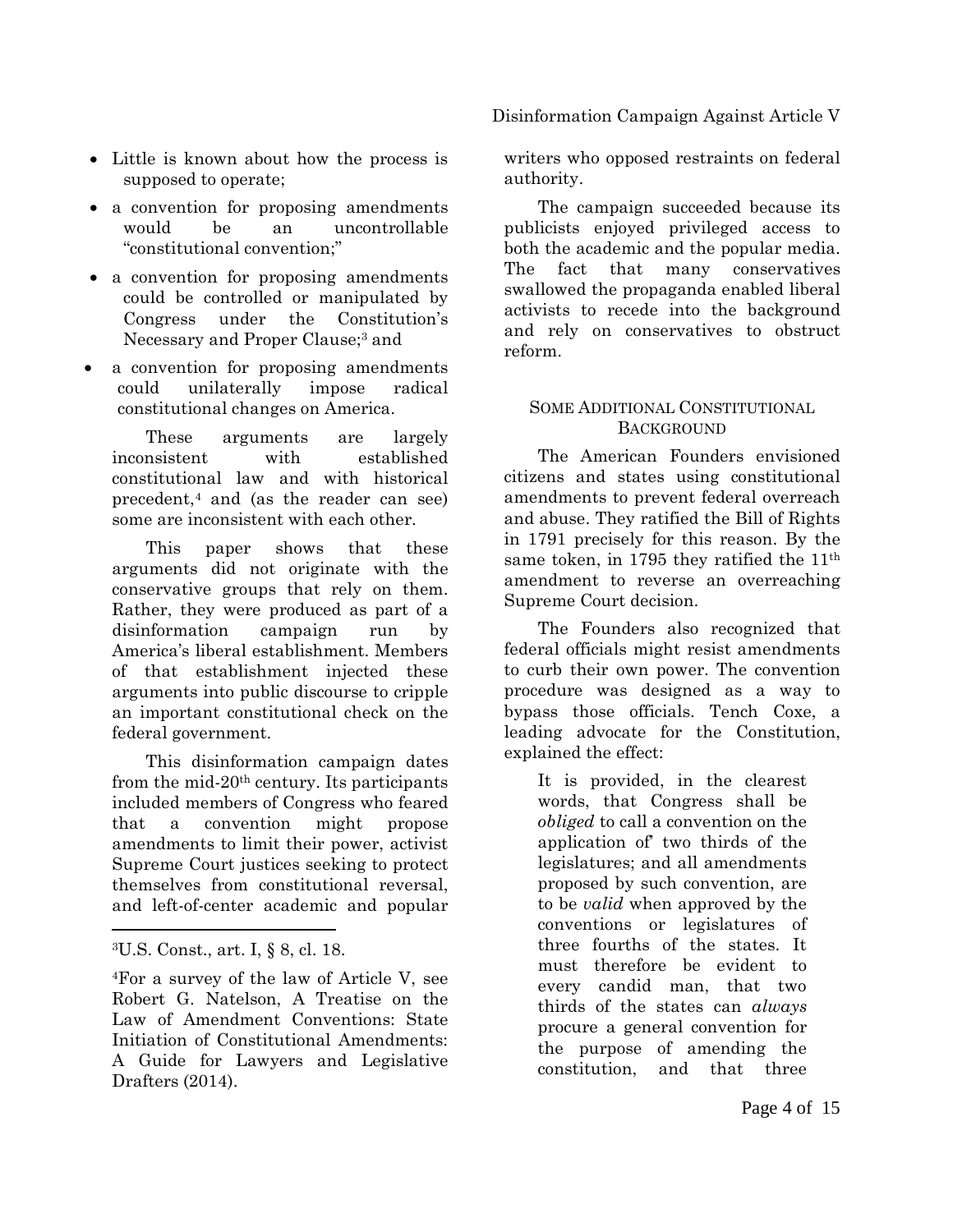- Little is known about how the process is supposed to operate;
- a convention for proposing amendments would be an uncontrollable "constitutional convention;"
- a convention for proposing amendments could be controlled or manipulated by Congress under the Constitution's Necessary and Proper Clause;<sup>3</sup> and
- a convention for proposing amendments could unilaterally impose radical constitutional changes on America.

These arguments are largely inconsistent with established constitutional law and with historical precedent[,4](#page-3-1) and (as the reader can see) some are inconsistent with each other.

This paper shows that these arguments did not originate with the conservative groups that rely on them. Rather, they were produced as part of a disinformation campaign run by America's liberal establishment. Members of that establishment injected these arguments into public discourse to cripple an important constitutional check on the federal government.

This disinformation campaign dates from the mid-20th century. Its participants included members of Congress who feared that a convention might propose amendments to limit their power, activist Supreme Court justices seeking to protect themselves from constitutional reversal, and left-of-center academic and popular

 $\overline{a}$ 

writers who opposed restraints on federal authority.

The campaign succeeded because its publicists enjoyed privileged access to both the academic and the popular media. The fact that many conservatives swallowed the propaganda enabled liberal activists to recede into the background and rely on conservatives to obstruct reform.

#### SOME ADDITIONAL CONSTITUTIONAL BACKGROUND

The American Founders envisioned citizens and states using constitutional amendments to prevent federal overreach and abuse. They ratified the Bill of Rights in 1791 precisely for this reason. By the same token, in 1795 they ratified the 11<sup>th</sup> amendment to reverse an overreaching Supreme Court decision.

The Founders also recognized that federal officials might resist amendments to curb their own power. The convention procedure was designed as a way to bypass those officials. Tench Coxe, a leading advocate for the Constitution, explained the effect:

It is provided, in the clearest words, that Congress shall be *obliged* to call a convention on the application of' two thirds of the legislatures; and all amendments proposed by such convention, are to be *valid* when approved by the conventions or legislatures of three fourths of the states. It must therefore be evident to every candid man, that two thirds of the states can *always*  procure a general convention for the purpose of amending the constitution, and that three

<span id="page-3-0"></span><sup>3</sup>U.S. Const., art. I, § 8, cl. 18.

<span id="page-3-1"></span><sup>4</sup>For a survey of the law of Article V, see Robert G. Natelson, A Treatise on the Law of Amendment Conventions: State Initiation of Constitutional Amendments: A Guide for Lawyers and Legislative Drafters  $(2014)$ .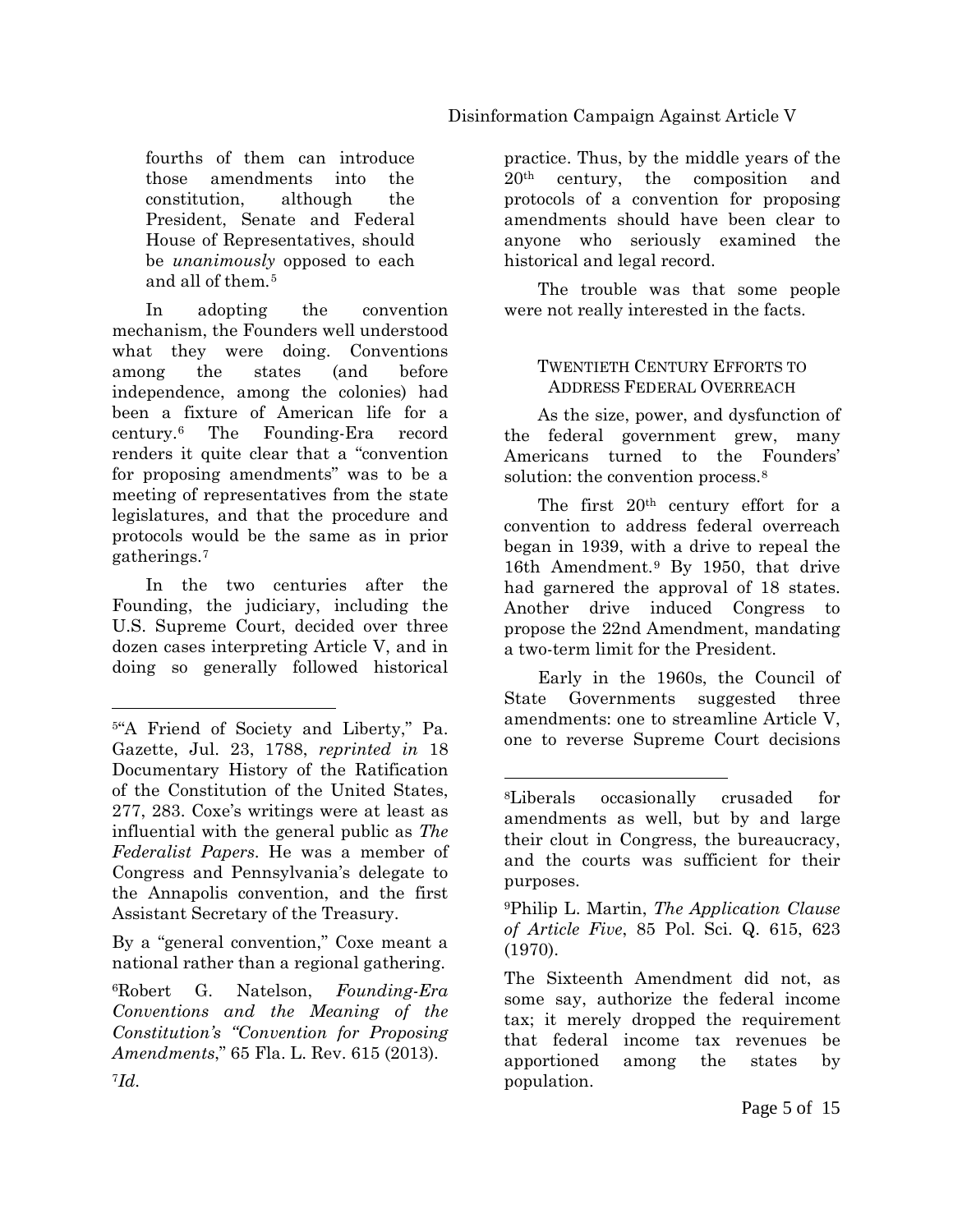fourths of them can introduce those amendments into the constitution, although the President, Senate and Federal House of Representatives, should be *unanimously* opposed to each and all of them*.*[5](#page-4-0)

In adopting the convention mechanism, the Founders well understood what they were doing. Conventions among the states (and before independence, among the colonies) had been a fixture of American life for a century[.6](#page-4-1) The Founding-Era record renders it quite clear that a "convention for proposing amendments" was to be a meeting of representatives from the state legislatures, and that the procedure and protocols would be the same as in prior gatherings.[7](#page-4-2)

In the two centuries after the Founding, the judiciary, including the U.S. Supreme Court, decided over three dozen cases interpreting Article V, and in doing so generally followed historical

<span id="page-4-4"></span>By a "general convention," Coxe meant a national rather than a regional gathering.

<span id="page-4-2"></span><span id="page-4-1"></span>6Robert G. Natelson, *Founding-Era Conventions and the Meaning of the Constitution's "Convention for Proposing Amendments*," 65 Fla. L. Rev. 615 (2013).

practice. Thus, by the middle years of the 20th century, the composition and protocols of a convention for proposing amendments should have been clear to anyone who seriously examined the historical and legal record.

The trouble was that some people were not really interested in the facts.

#### TWENTIETH CENTURY EFFORTS TO ADDRESS FEDERAL OVERREACH

As the size, power, and dysfunction of the federal government grew, many Americans turned to the Founders' solution: the convention process.<sup>8</sup>

The first  $20<sup>th</sup>$  century effort for a convention to address federal overreach began in 1939, with a drive to repeal the 16th Amendment.[9](#page-4-4) By 1950, that drive had garnered the approval of 18 states. Another drive induced Congress to propose the 22nd Amendment, mandating a two-term limit for the President.

Early in the 1960s, the Council of State Governments suggested three amendments: one to streamline Article V, one to reverse Supreme Court decisions

 $\overline{a}$ 

<span id="page-4-3"></span><span id="page-4-0"></span><sup>5&</sup>quot;A Friend of Society and Liberty," Pa. Gazette, Jul. 23, 1788, *reprinted in* 18 Documentary History of the Ratification of the Constitution of the United States, 277, 283. Coxe's writings were at least as influential with the general public as *The Federalist Papers*. He was a member of Congress and Pennsylvania's delegate to the Annapolis convention, and the first Assistant Secretary of the Treasury.

<sup>8</sup>Liberals occasionally crusaded for amendments as well, but by and large their clout in Congress, the bureaucracy, and the courts was sufficient for their purposes.

<sup>9</sup>Philip L. Martin, *The Application Clause of Article Five*, 85 Pol. Sci. Q. 615, 623 (1970).

The Sixteenth Amendment did not, as some say, authorize the federal income tax; it merely dropped the requirement that federal income tax revenues be apportioned among the states by population.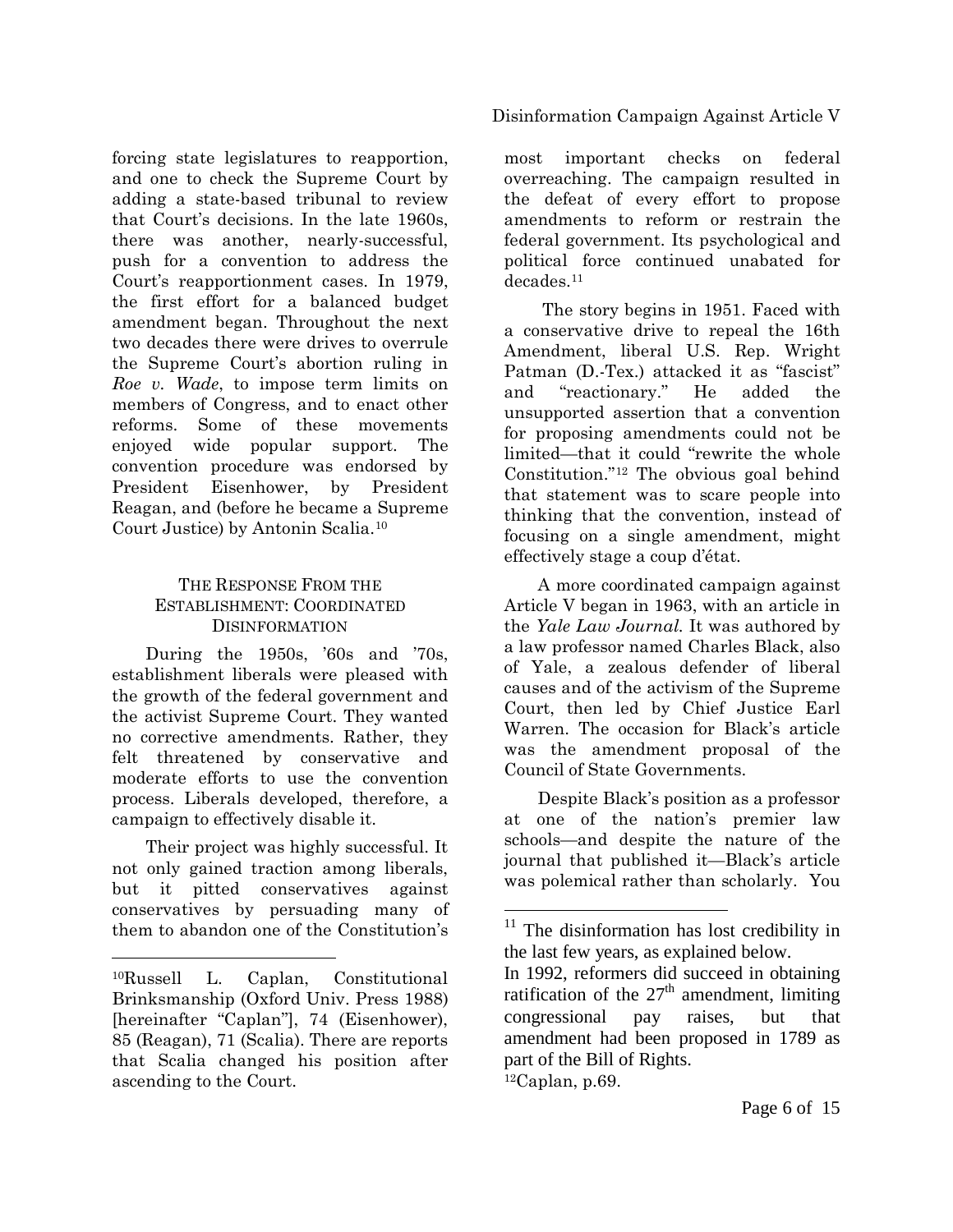forcing state legislatures to reapportion, and one to check the Supreme Court by adding a state-based tribunal to review that Court's decisions. In the late 1960s, there was another, nearly-successful, push for a convention to address the Court's reapportionment cases. In 1979, the first effort for a balanced budget amendment began. Throughout the next two decades there were drives to overrule the Supreme Court's abortion ruling in *Roe v. Wade*, to impose term limits on members of Congress, and to enact other reforms. Some of these movements enjoyed wide popular support. The convention procedure was endorsed by President Eisenhower, by President Reagan, and (before he became a Supreme Court Justice) by Antonin Scalia.[10](#page-5-0)

#### THE RESPONSE FROM THE ESTABLISHMENT: COORDINATED DISINFORMATION

During the 1950s, '60s and '70s, establishment liberals were pleased with the growth of the federal government and the activist Supreme Court. They wanted no corrective amendments. Rather, they felt threatened by conservative and moderate efforts to use the convention process. Liberals developed, therefore, a campaign to effectively disable it.

Their project was highly successful. It not only gained traction among liberals, but it pitted conservatives against conservatives by persuading many of them to abandon one of the Constitution's

<span id="page-5-1"></span> $\overline{a}$ 

#### Disinformation Campaign Against Article V

most important checks on federal overreaching. The campaign resulted in the defeat of every effort to propose amendments to reform or restrain the federal government. Its psychological and political force continued unabated for decades.[11](#page-5-1)

The story begins in 1951. Faced with a conservative drive to repeal the 16th Amendment, liberal U.S. Rep. Wright Patman (D.-Tex.) attacked it as "fascist" and "reactionary." He added the unsupported assertion that a convention for proposing amendments could not be limited—that it could "rewrite the whole Constitution."[12](#page-5-2) The obvious goal behind that statement was to scare people into thinking that the convention, instead of focusing on a single amendment, might effectively stage a coup d'état.

A more coordinated campaign against Article V began in 1963, with an article in the *Yale Law Journal.* It was authored by a law professor named Charles Black, also of Yale, a zealous defender of liberal causes and of the activism of the Supreme Court, then led by Chief Justice Earl Warren. The occasion for Black's article was the amendment proposal of the Council of State Governments.

Despite Black's position as a professor at one of the nation's premier law schools—and despite the nature of the journal that published it—Black's article was polemical rather than scholarly. You

 $12$ Caplan, p.69.

<span id="page-5-2"></span><span id="page-5-0"></span><sup>10</sup>Russell L. Caplan, Constitutional Brinksmanship (Oxford Univ. Press 1988) [hereinafter "Caplan"], 74 (Eisenhower), 85 (Reagan), 71 (Scalia). There are reports that Scalia changed his position after ascending to the Court.

<sup>&</sup>lt;sup>11</sup> The disinformation has lost credibility in the last few years, as explained below.

In 1992, reformers did succeed in obtaining ratification of the  $27<sup>th</sup>$  amendment, limiting congressional pay raises, but that amendment had been proposed in 1789 as part of the Bill of Rights.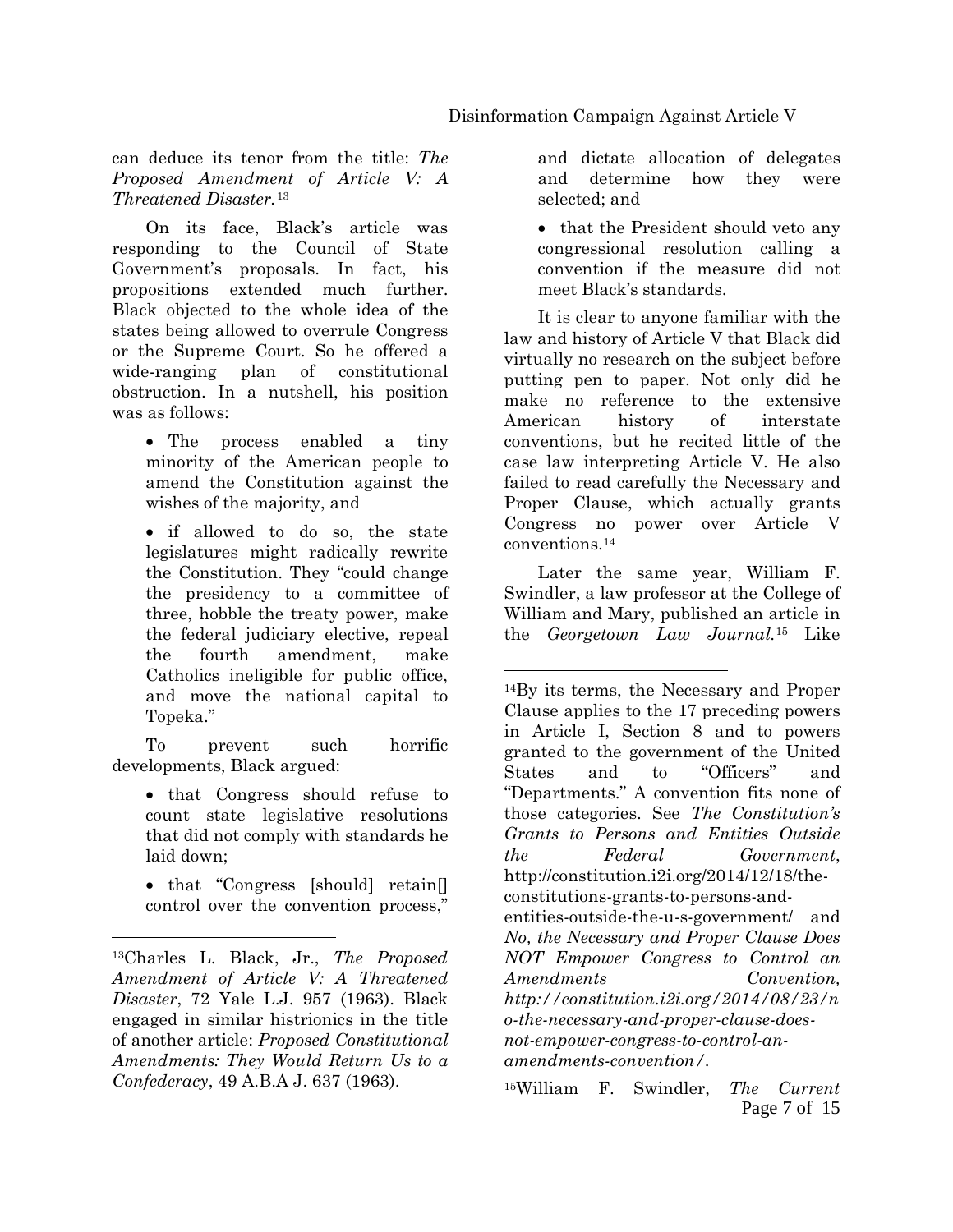#### can deduce its tenor from the title: *The Proposed Amendment of Article V: A Threatened Disaster.*[13](#page-6-0)

On its face, Black's article was responding to the Council of State Government's proposals. In fact, his propositions extended much further. Black objected to the whole idea of the states being allowed to overrule Congress or the Supreme Court. So he offered a wide-ranging plan of constitutional obstruction. In a nutshell, his position was as follows:

• The process enabled a tiny minority of the American people to amend the Constitution against the wishes of the majority, and

• if allowed to do so, the state legislatures might radically rewrite the Constitution. They "could change the presidency to a committee of three, hobble the treaty power, make the federal judiciary elective, repeal the fourth amendment, make Catholics ineligible for public office, and move the national capital to Topeka."

<span id="page-6-1"></span>To prevent such horrific developments, Black argued:

- that Congress should refuse to count state legislative resolutions that did not comply with standards he laid down;
- that "Congress [should] retain[] control over the convention process,"

 $\overline{a}$ 

and dictate allocation of delegates and determine how they were selected; and

• that the President should veto any congressional resolution calling a convention if the measure did not meet Black's standards.

It is clear to anyone familiar with the law and history of Article V that Black did virtually no research on the subject before putting pen to paper. Not only did he make no reference to the extensive American history of interstate conventions, but he recited little of the case law interpreting Article V. He also failed to read carefully the Necessary and Proper Clause, which actually grants Congress no power over Article V conventions.[14](#page-6-1)

Later the same year, William F. Swindler, a law professor at the College of William and Mary, published an article in the *Georgetown Law Journal.*[15](#page-6-2) Like

<span id="page-6-2"></span><span id="page-6-0"></span><sup>13</sup>Charles L. Black, Jr., *The Proposed Amendment of Article V: A Threatened Disaster*, 72 Yale L.J. 957 (1963). Black engaged in similar histrionics in the title of another article: *Proposed Constitutional Amendments: They Would Return Us to a Confederacy*, 49 A.B.A J. 637 (1963).

<sup>14</sup>By its terms, the Necessary and Proper Clause applies to the 17 preceding powers in Article I, Section 8 and to powers granted to the government of the United States and to "Officers" and "Departments." A convention fits none of those categories. See *The Constitution's Grants to Persons and Entities Outside the Federal Government*, http://constitution.i2i.org/2014/12/18/theconstitutions-grants-to-persons-andentities-outside-the-u-s-government/ and *No, the Necessary and Proper Clause Does NOT Empower Congress to Control an Amendments Convention, http://constitution.i2i.org/2014/08/23/n o-the-necessary-and-proper-clause-doesnot-empower-congress-to-control-anamendments-convention/.*

Page 7 of 15 15William F. Swindler, *The Current*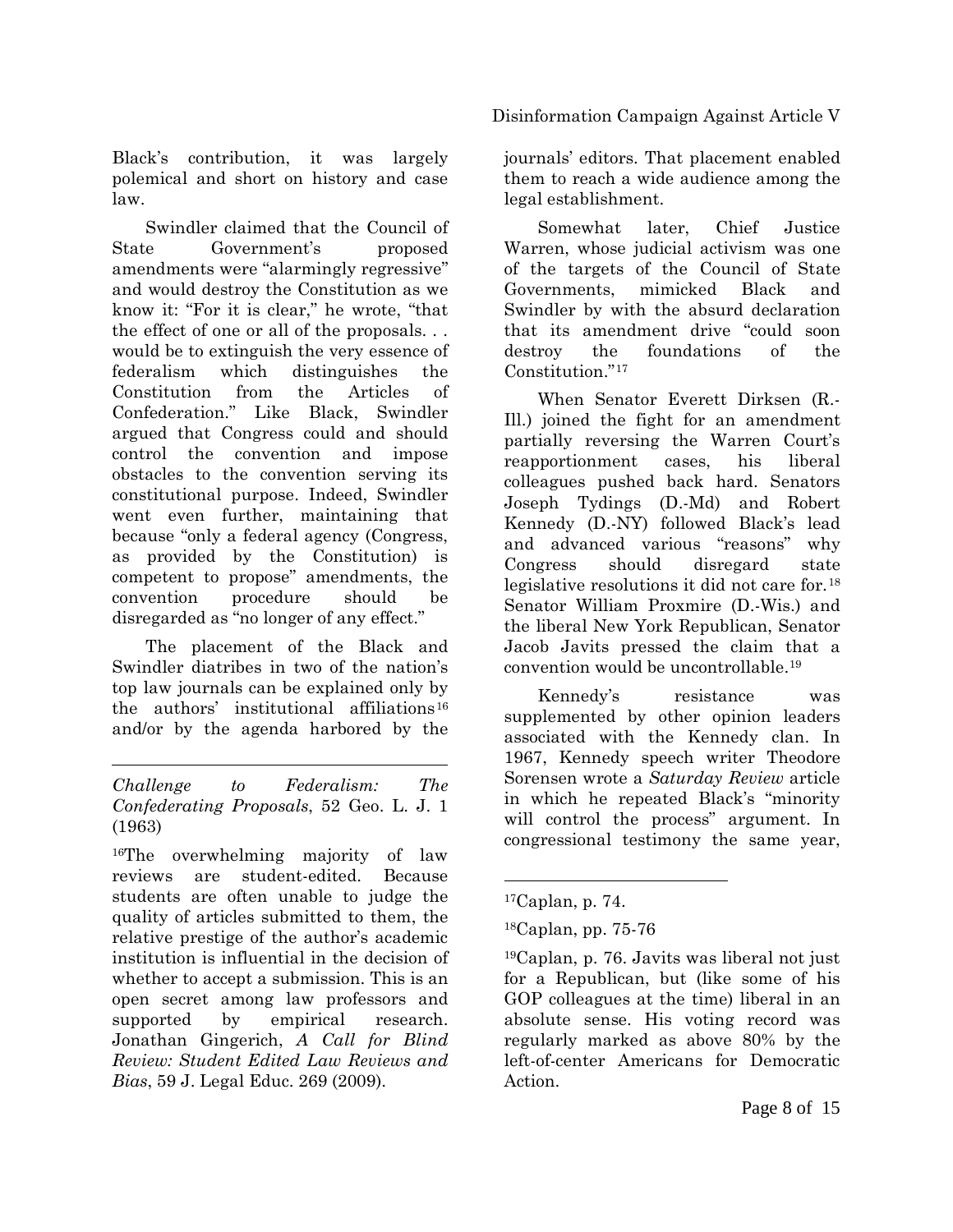Black's contribution, it was largely polemical and short on history and case law.

Swindler claimed that the Council of State Government's proposed amendments were "alarmingly regressive" and would destroy the Constitution as we know it: "For it is clear," he wrote, "that the effect of one or all of the proposals. . . would be to extinguish the very essence of federalism which distinguishes the Constitution from the Articles of Confederation." Like Black, Swindler argued that Congress could and should control the convention and impose obstacles to the convention serving its constitutional purpose. Indeed, Swindler went even further, maintaining that because "only a federal agency (Congress, as provided by the Constitution) is competent to propose" amendments, the convention procedure should be disregarded as "no longer of any effect."

The placement of the Black and Swindler diatribes in two of the nation's top law journals can be explained only by the authors' institutional affiliations<sup>[16](#page-7-0)</sup> and/or by the agenda harbored by the

 $\overline{a}$ *Challenge to Federalism: The Confederating Proposals*, 52 Geo. L. J. 1 (1963)

<span id="page-7-3"></span><span id="page-7-2"></span><span id="page-7-1"></span><span id="page-7-0"></span><sup>16</sup>The overwhelming majority of law reviews are student-edited. Because students are often unable to judge the quality of articles submitted to them, the relative prestige of the author's academic institution is influential in the decision of whether to accept a submission. This is an open secret among law professors and supported by empirical research. Jonathan Gingerich, *A Call for Blind Review: Student Edited Law Reviews and Bias*, 59 J. Legal Educ. 269 (2009).

journals' editors. That placement enabled them to reach a wide audience among the legal establishment.

Somewhat later, Chief Justice Warren, whose judicial activism was one of the targets of the Council of State Governments, mimicked Black and Swindler by with the absurd declaration that its amendment drive "could soon destroy the foundations of the Constitution."[17](#page-7-1)

When Senator Everett Dirksen (R.- Ill.) joined the fight for an amendment partially reversing the Warren Court's reapportionment cases, his liberal colleagues pushed back hard. Senators Joseph Tydings (D.-Md) and Robert Kennedy (D.-NY) followed Black's lead and advanced various "reasons" why Congress should disregard state legislative resolutions it did not care for.[18](#page-7-2) Senator William Proxmire (D.-Wis.) and the liberal New York Republican, Senator Jacob Javits pressed the claim that a convention would be uncontrollable[.19](#page-7-3)

Kennedy's resistance was supplemented by other opinion leaders associated with the Kennedy clan. In 1967, Kennedy speech writer Theodore Sorensen wrote a *Saturday Review* article in which he repeated Black's "minority will control the process" argument. In congressional testimony the same year,

 $17$ Caplan, p. 74.

<sup>18</sup>Caplan, pp. 75-76

<sup>19</sup>Caplan, p. 76. Javits was liberal not just for a Republican, but (like some of his GOP colleagues at the time) liberal in an absolute sense. His voting record was regularly marked as above 80% by the left-of-center Americans for Democratic Action.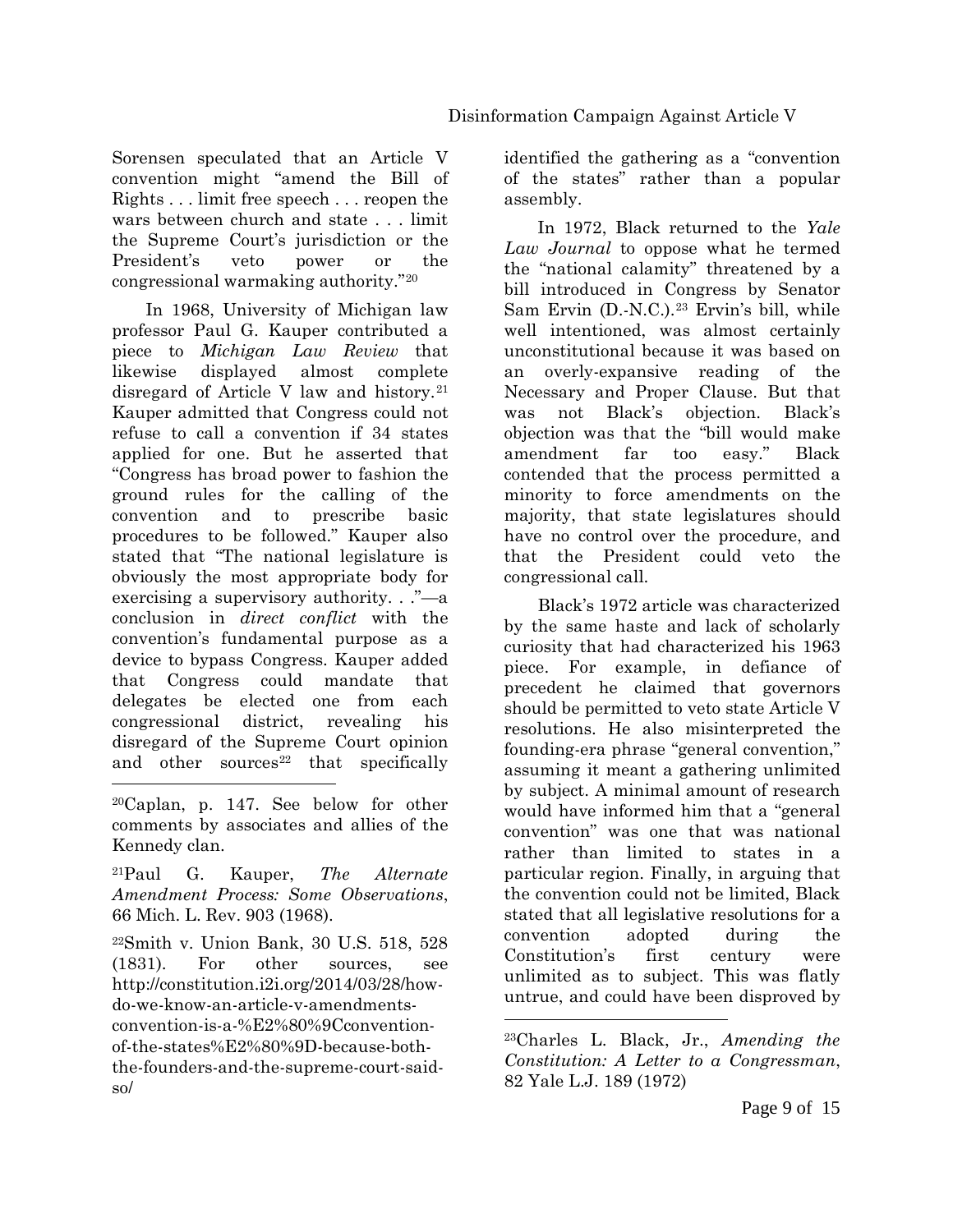Sorensen speculated that an Article V convention might "amend the Bill of Rights . . . limit free speech . . . reopen the wars between church and state . . . limit the Supreme Court's jurisdiction or the President's veto power or the congressional warmaking authority."[20](#page-8-0)

In 1968, University of Michigan law professor Paul G. Kauper contributed a piece to *Michigan Law Review* that likewise displayed almost complete disregard of Article V law and history.[21](#page-8-1) Kauper admitted that Congress could not refuse to call a convention if 34 states applied for one. But he asserted that "Congress has broad power to fashion the ground rules for the calling of the convention and to prescribe basic procedures to be followed." Kauper also stated that "The national legislature is obviously the most appropriate body for exercising a supervisory authority. . ."—a conclusion in *direct conflict* with the convention's fundamental purpose as a device to bypass Congress. Kauper added that Congress could mandate that delegates be elected one from each congressional district, revealing his disregard of the Supreme Court opinion and other sources $22$  that specifically

<span id="page-8-1"></span>21Paul G. Kauper, *The Alternate Amendment Process: Some Observations*, 66 Mich. L. Rev. 903 (1968).

<span id="page-8-3"></span><span id="page-8-2"></span>22Smith v. Union Bank, 30 U.S. 518, 528 (1831). For other sources, see http://constitution.i2i.org/2014/03/28/howdo-we-know-an-article-v-amendmentsconvention-is-a-%E2%80%9Cconventionof-the-states%E2%80%9D-because-boththe-founders-and-the-supreme-court-saidso/

identified the gathering as a "convention of the states" rather than a popular assembly.

In 1972, Black returned to the *Yale Law Journal* to oppose what he termed the "national calamity" threatened by a bill introduced in Congress by Senator Sam Ervin (D.-N.C.).<sup>[23](#page-8-3)</sup> Ervin's bill, while well intentioned, was almost certainly unconstitutional because it was based on an overly-expansive reading of the Necessary and Proper Clause. But that was not Black's objection. Black's objection was that the "bill would make amendment far too easy." Black contended that the process permitted a minority to force amendments on the majority, that state legislatures should have no control over the procedure, and that the President could veto the congressional call.

Black's 1972 article was characterized by the same haste and lack of scholarly curiosity that had characterized his 1963 piece. For example, in defiance of precedent he claimed that governors should be permitted to veto state Article V resolutions. He also misinterpreted the founding-era phrase "general convention," assuming it meant a gathering unlimited by subject. A minimal amount of research would have informed him that a "general convention" was one that was national rather than limited to states in a particular region. Finally, in arguing that the convention could not be limited, Black stated that all legislative resolutions for a convention adopted during the Constitution's first century were unlimited as to subject. This was flatly untrue, and could have been disproved by

<span id="page-8-0"></span> $\overline{a}$ 20Caplan, p. 147. See below for other comments by associates and allies of the Kennedy clan.

<sup>23</sup>Charles L. Black, Jr., *Amending the Constitution: A Letter to a Congressman*, 82 Yale L.J. 189 (1972)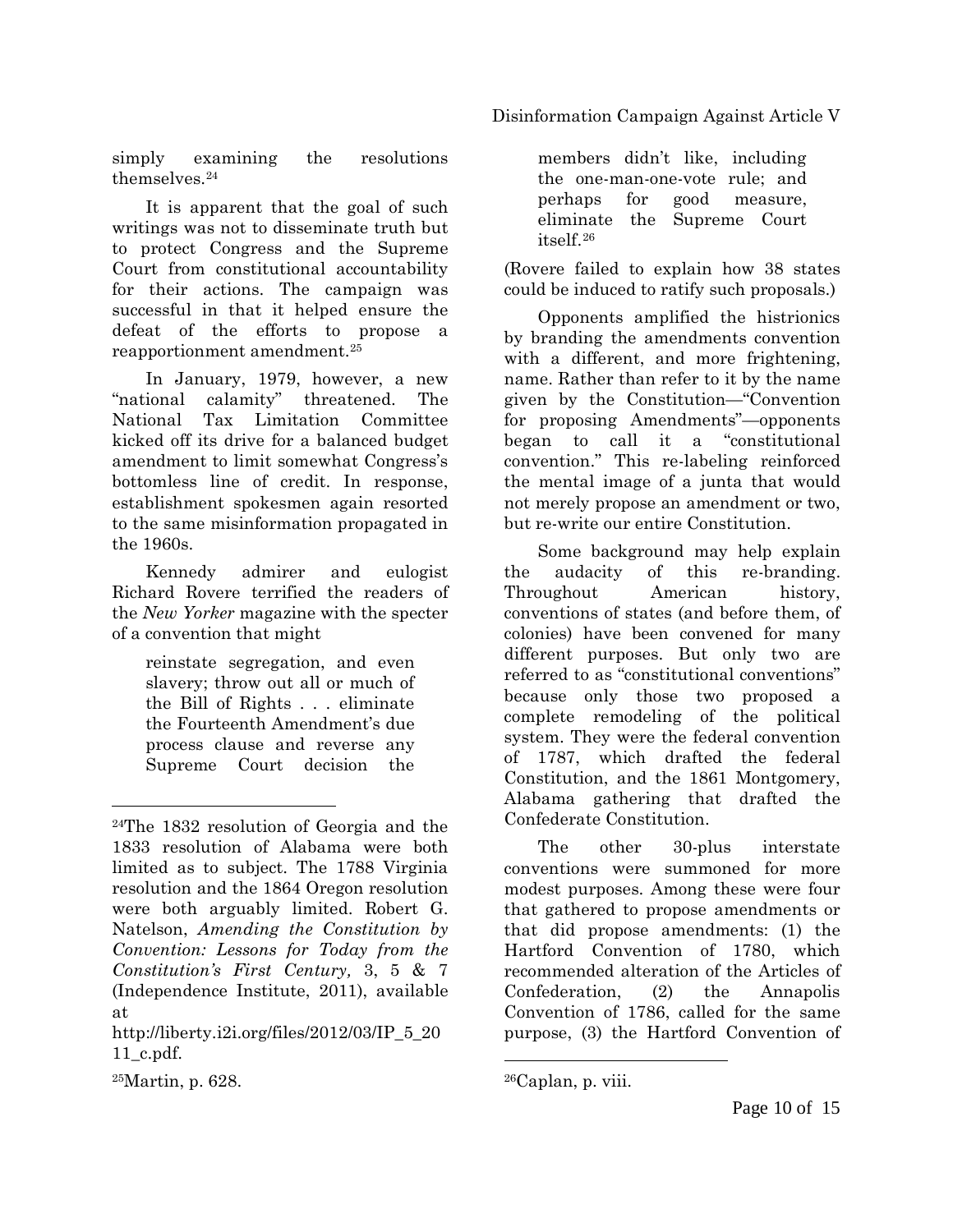Disinformation Campaign Against Article V

simply examining the resolutions themselves[.24](#page-9-0)

It is apparent that the goal of such writings was not to disseminate truth but to protect Congress and the Supreme Court from constitutional accountability for their actions. The campaign was successful in that it helped ensure the defeat of the efforts to propose a reapportionment amendment.[25](#page-9-1)

In January, 1979, however, a new "national calamity" threatened. The National Tax Limitation Committee kicked off its drive for a balanced budget amendment to limit somewhat Congress's bottomless line of credit. In response, establishment spokesmen again resorted to the same misinformation propagated in the 1960s.

Kennedy admirer and eulogist Richard Rovere terrified the readers of the *New Yorker* magazine with the specter of a convention that might

reinstate segregation, and even slavery; throw out all or much of the Bill of Rights . . . eliminate the Fourteenth Amendment's due process clause and reverse any Supreme Court decision the

members didn't like, including the one-man-one-vote rule; and perhaps for good measure, eliminate the Supreme Court itself.[26](#page-9-1)

(Rovere failed to explain how 38 states could be induced to ratify such proposals.)

Opponents amplified the histrionics by branding the amendments convention with a different, and more frightening, name. Rather than refer to it by the name given by the Constitution—"Convention for proposing Amendments"—opponents began to call it a "constitutional convention." This re-labeling reinforced the mental image of a junta that would not merely propose an amendment or two, but re-write our entire Constitution.

Some background may help explain the audacity of this re-branding. Throughout American history, conventions of states (and before them, of colonies) have been convened for many different purposes. But only two are referred to as "constitutional conventions" because only those two proposed a complete remodeling of the political system. They were the federal convention of 1787, which drafted the federal Constitution, and the 1861 Montgomery, Alabama gathering that drafted the Confederate Constitution.

The other 30-plus interstate conventions were summoned for more modest purposes. Among these were four that gathered to propose amendments or that did propose amendments: (1) the Hartford Convention of 1780, which recommended alteration of the Articles of Confederation, (2) the Annapolis Convention of 1786, called for the same purpose, (3) the Hartford Convention of

 $\overline{a}$ 

<span id="page-9-0"></span><sup>24</sup>The 1832 resolution of Georgia and the 1833 resolution of Alabama were both limited as to subject. The 1788 Virginia resolution and the 1864 Oregon resolution were both arguably limited. Robert G. Natelson, *Amending the Constitution by Convention: Lessons for Today from the Constitution's First Century,* 3, 5 & 7 (Independence Institute, 2011), available at

<span id="page-9-1"></span>http://liberty.i2i.org/files/2012/03/IP\_5\_20 11\_c.pdf.

 $26$ Caplan, p. viii.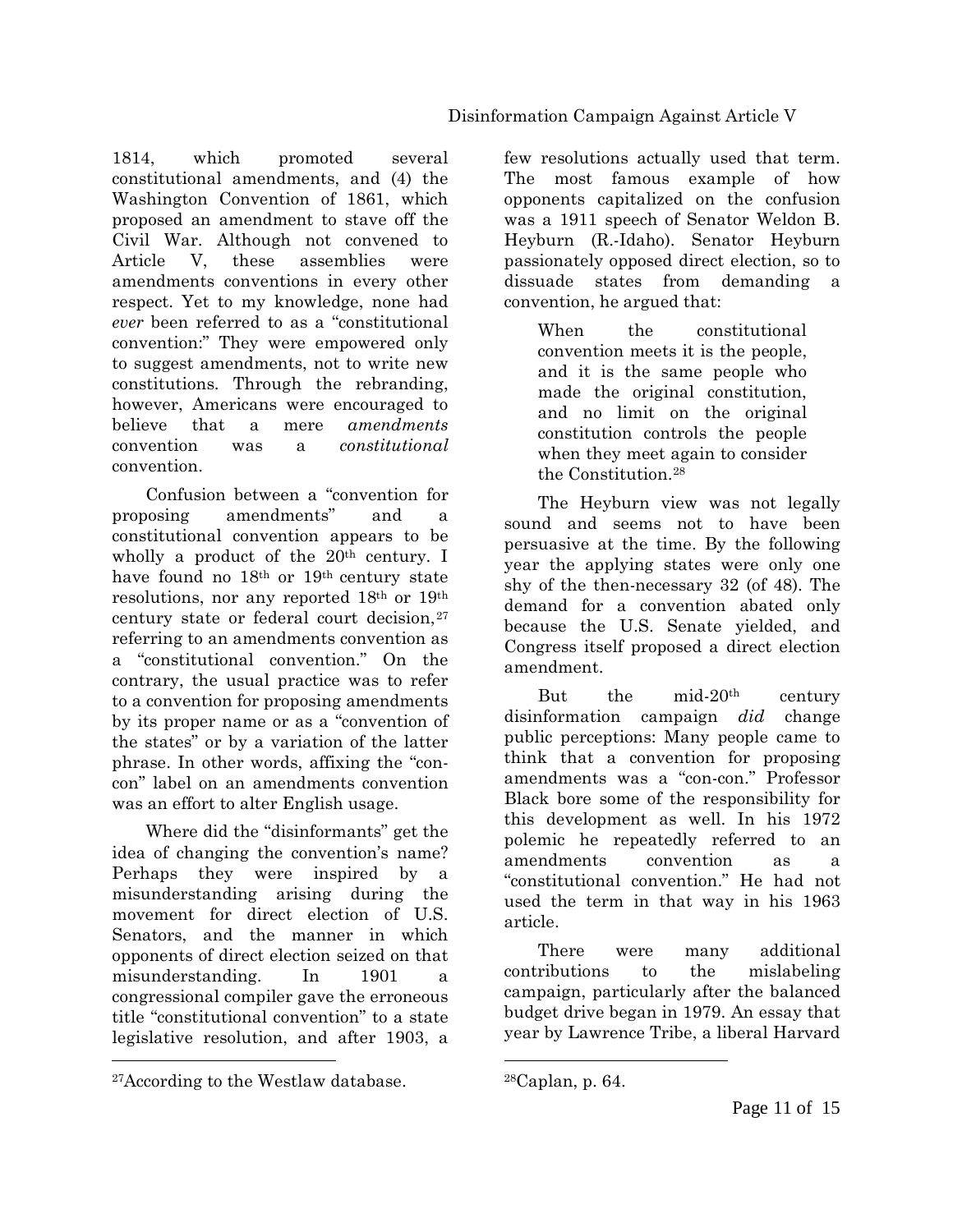1814, which promoted several constitutional amendments, and (4) the Washington Convention of 1861, which proposed an amendment to stave off the Civil War. Although not convened to Article V, these assemblies were amendments conventions in every other respect. Yet to my knowledge, none had *ever* been referred to as a "constitutional convention:" They were empowered only to suggest amendments, not to write new constitutions. Through the rebranding, however, Americans were encouraged to believe that a mere *amendments* convention was a *constitutional* convention.

Confusion between a "convention for proposing amendments" and a constitutional convention appears to be wholly a product of the  $20<sup>th</sup>$  century. I have found no 18th or 19th century state resolutions, nor any reported 18th or 19th century state or federal court decision, <sup>[27](#page-10-0)</sup> referring to an amendments convention as a "constitutional convention." On the contrary, the usual practice was to refer to a convention for proposing amendments by its proper name or as a "convention of the states" or by a variation of the latter phrase. In other words, affixing the "concon" label on an amendments convention was an effort to alter English usage.

Where did the "disinformants" get the idea of changing the convention's name? Perhaps they were inspired by a misunderstanding arising during the movement for direct election of U.S. Senators, and the manner in which opponents of direct election seized on that misunderstanding. In 1901 a congressional compiler gave the erroneous title "constitutional convention" to a state legislative resolution, and after 1903, a

 $\overline{a}$ 

few resolutions actually used that term. The most famous example of how opponents capitalized on the confusion was a 1911 speech of Senator Weldon B. Heyburn (R.-Idaho). Senator Heyburn passionately opposed direct election, so to dissuade states from demanding a convention, he argued that:

When the constitutional convention meets it is the people, and it is the same people who made the original constitution, and no limit on the original constitution controls the people when they meet again to consider the Constitution<sup>[28](#page-10-0)</sup>

The Heyburn view was not legally sound and seems not to have been persuasive at the time. By the following year the applying states were only one shy of the then-necessary 32 (of 48). The demand for a convention abated only because the U.S. Senate yielded, and Congress itself proposed a direct election amendment.

But the mid-20th century disinformation campaign *did* change public perceptions: Many people came to think that a convention for proposing amendments was a "con-con." Professor Black bore some of the responsibility for this development as well. In his 1972 polemic he repeatedly referred to an amendments convention as a "constitutional convention." He had not used the term in that way in his 1963 article.

There were many additional contributions to the mislabeling campaign, particularly after the balanced budget drive began in 1979. An essay that year by Lawrence Tribe, a liberal Harvard

<span id="page-10-0"></span><sup>27</sup>According to the Westlaw database.

 $28$ Caplan, p. 64.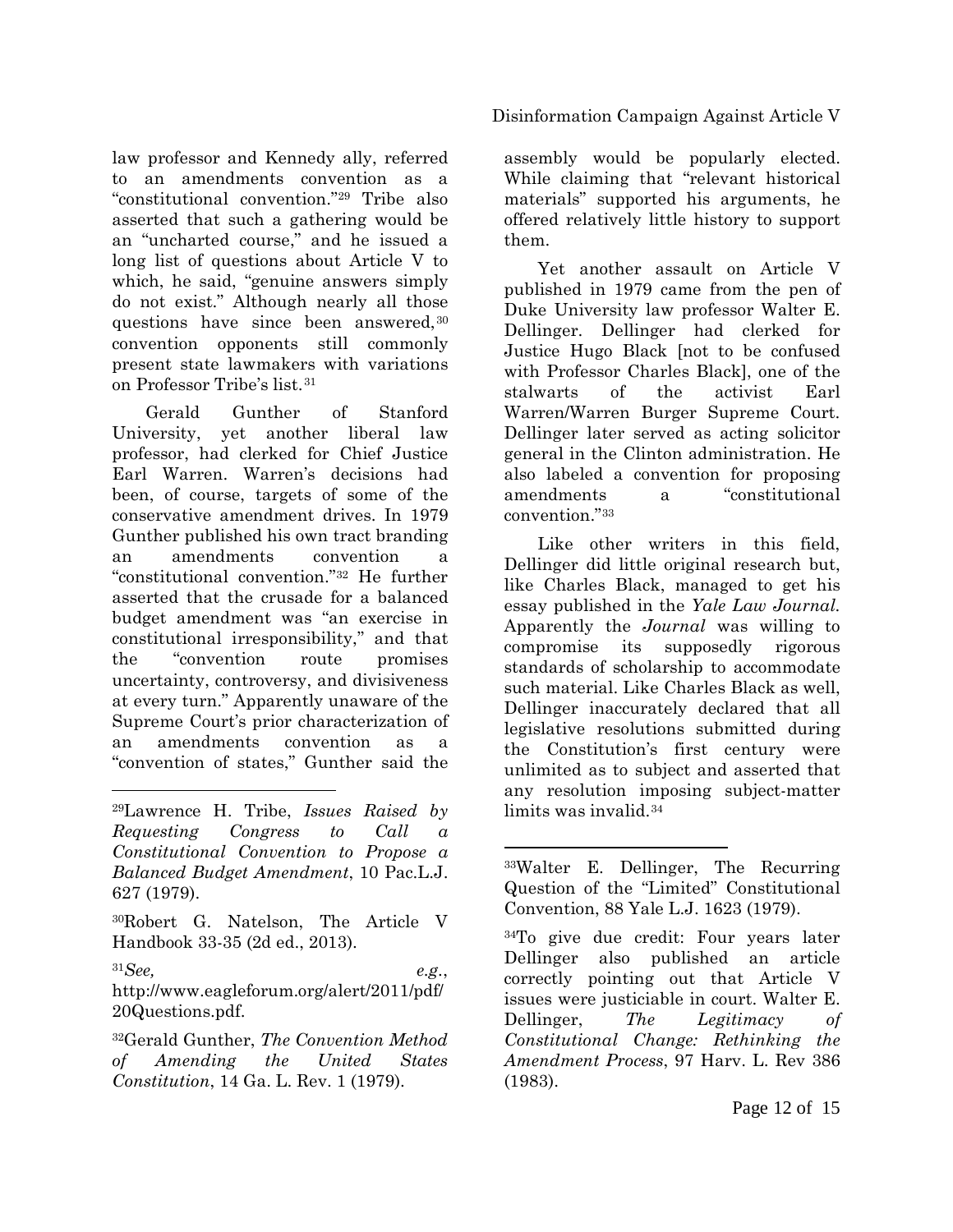law professor and Kennedy ally, referred to an amendments convention as a "constitutional convention.["29](#page-11-0) Tribe also asserted that such a gathering would be an "uncharted course," and he issued a long list of questions about Article V to which, he said, "genuine answers simply do not exist." Although nearly all those questions have since been answered, [30](#page-11-1) convention opponents still commonly present state lawmakers with variations on Professor Tribe's list.[31](#page-11-2)

Gerald Gunther of Stanford University, yet another liberal law professor, had clerked for Chief Justice Earl Warren. Warren's decisions had been, of course, targets of some of the conservative amendment drives. In 1979 Gunther published his own tract branding an amendments convention a "constitutional convention."[32](#page-11-3) He further asserted that the crusade for a balanced budget amendment was "an exercise in constitutional irresponsibility," and that the "convention route promises uncertainty, controversy, and divisiveness at every turn." Apparently unaware of the Supreme Court's prior characterization of an amendments convention as a "convention of states," Gunther said the

 $\overline{a}$ 

<span id="page-11-2"></span> ${}^{31}See$ ,  $e.g.,$ http://www.eagleforum.org/alert/2011/pdf/ 20Questions.pdf.

<span id="page-11-3"></span>32Gerald Gunther, *The Convention Method of Amending the United States Constitution*, 14 Ga. L. Rev. 1 (1979).

#### Disinformation Campaign Against Article V

assembly would be popularly elected. While claiming that "relevant historical materials" supported his arguments, he offered relatively little history to support them.

Yet another assault on Article V published in 1979 came from the pen of Duke University law professor Walter E. Dellinger. Dellinger had clerked for Justice Hugo Black [not to be confused with Professor Charles Black], one of the stalwarts of the activist Earl Warren/Warren Burger Supreme Court. Dellinger later served as acting solicitor general in the Clinton administration. He also labeled a convention for proposing amendments a "constitutional convention."[33](#page-11-4)

Like other writers in this field, Dellinger did little original research but, like Charles Black, managed to get his essay published in the *Yale Law Journal.* Apparently the *Journal* was willing to compromise its supposedly rigorous standards of scholarship to accommodate such material. Like Charles Black as well, Dellinger inaccurately declared that all legislative resolutions submitted during the Constitution's first century were unlimited as to subject and asserted that any resolution imposing subject-matter limits was invalid.[34](#page-11-5)

 $\overline{a}$ 

34To give due credit: Four years later Dellinger also published an article correctly pointing out that Article V issues were justiciable in court. Walter E. Dellinger, *The Legitimacy of Constitutional Change: Rethinking the Amendment Process*, 97 Harv. L. Rev 386 (1983).

<span id="page-11-4"></span><span id="page-11-0"></span><sup>29</sup>Lawrence H. Tribe, *Issues Raised by Requesting Congress to Call a Constitutional Convention to Propose a Balanced Budget Amendment*, 10 Pac.L.J. 627 (1979).

<span id="page-11-5"></span><span id="page-11-1"></span><sup>30</sup>Robert G. Natelson, The Article V Handbook 33-35 (2d ed., 2013).

<sup>33</sup>Walter E. Dellinger, The Recurring Question of the "Limited" Constitutional Convention, 88 Yale L.J. 1623 (1979).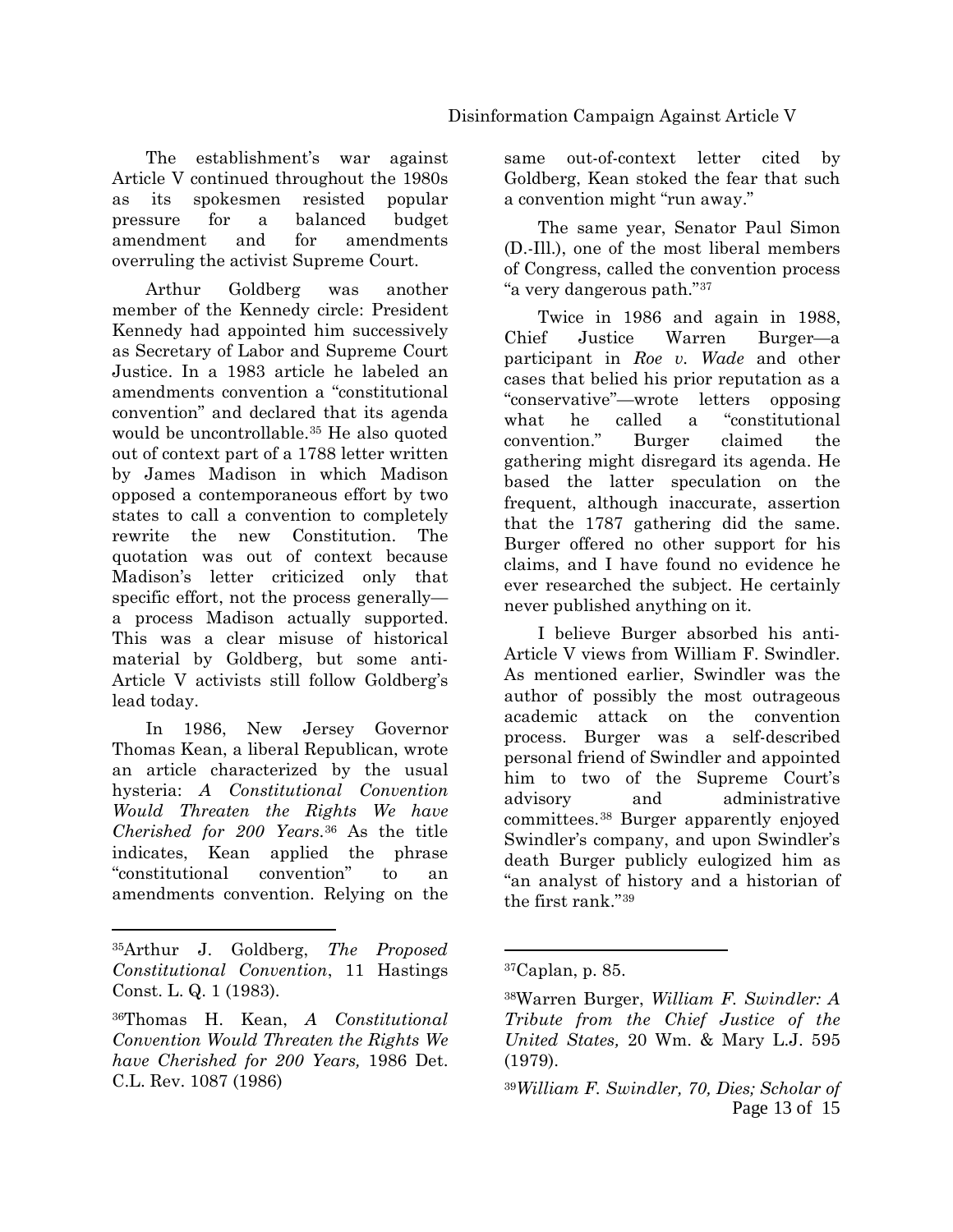The establishment's war against Article V continued throughout the 1980s as its spokesmen resisted popular pressure for a balanced budget amendment and for amendments overruling the activist Supreme Court.

Arthur Goldberg was another member of the Kennedy circle: President Kennedy had appointed him successively as Secretary of Labor and Supreme Court Justice. In a 1983 article he labeled an amendments convention a "constitutional convention" and declared that its agenda would be uncontrollable.[35](#page-12-0) He also quoted out of context part of a 1788 letter written by James Madison in which Madison opposed a contemporaneous effort by two states to call a convention to completely rewrite the new Constitution. The quotation was out of context because Madison's letter criticized only that specific effort, not the process generally a process Madison actually supported. This was a clear misuse of historical material by Goldberg, but some anti-Article V activists still follow Goldberg's lead today.

In 1986, New Jersey Governor Thomas Kean, a liberal Republican, wrote an article characterized by the usual hysteria: *A Constitutional Convention Would Threaten the Rights We have Cherished for 200 Years*.[36](#page-12-1) As the title indicates, Kean applied the phrase "constitutional convention" to an amendments convention. Relying on the same out-of-context letter cited by Goldberg, Kean stoked the fear that such a convention might "run away."

The same year, Senator Paul Simon (D.-Ill.), one of the most liberal members of Congress, called the convention process "a very dangerous path."[37](#page-12-2)

Twice in 1986 and again in 1988, Chief Justice Warren Burger—a participant in *Roe v. Wade* and other cases that belied his prior reputation as a "conservative"—wrote letters opposing what he called a "constitutional convention." Burger claimed the gathering might disregard its agenda. He based the latter speculation on the frequent, although inaccurate, assertion that the 1787 gathering did the same. Burger offered no other support for his claims, and I have found no evidence he ever researched the subject. He certainly never published anything on it.

I believe Burger absorbed his anti-Article V views from William F. Swindler. As mentioned earlier, Swindler was the author of possibly the most outrageous academic attack on the convention process. Burger was a self-described personal friend of Swindler and appointed him to two of the Supreme Court's advisory and administrative committees.[38](#page-12-3) Burger apparently enjoyed Swindler's company, and upon Swindler's death Burger publicly eulogized him as "an analyst of history and a historian of the first rank."[39](#page-12-4)

<span id="page-12-2"></span><span id="page-12-0"></span> $\overline{a}$ 35Arthur J. Goldberg, *The Proposed Constitutional Convention*, 11 Hastings Const. L. Q. 1 (1983).

<span id="page-12-4"></span><span id="page-12-3"></span><span id="page-12-1"></span><sup>36</sup>Thomas H. Kean, *A Constitutional Convention Would Threaten the Rights We have Cherished for 200 Years,* 1986 Det. C.L. Rev. 1087 (1986)

 $37$ Caplan, p. 85.

<sup>38</sup>Warren Burger, *William F. Swindler: A Tribute from the Chief Justice of the United States,* 20 Wm. & Mary L.J. 595 (1979).

Page 13 of 15 39*William F. Swindler, 70, Dies; Scholar of*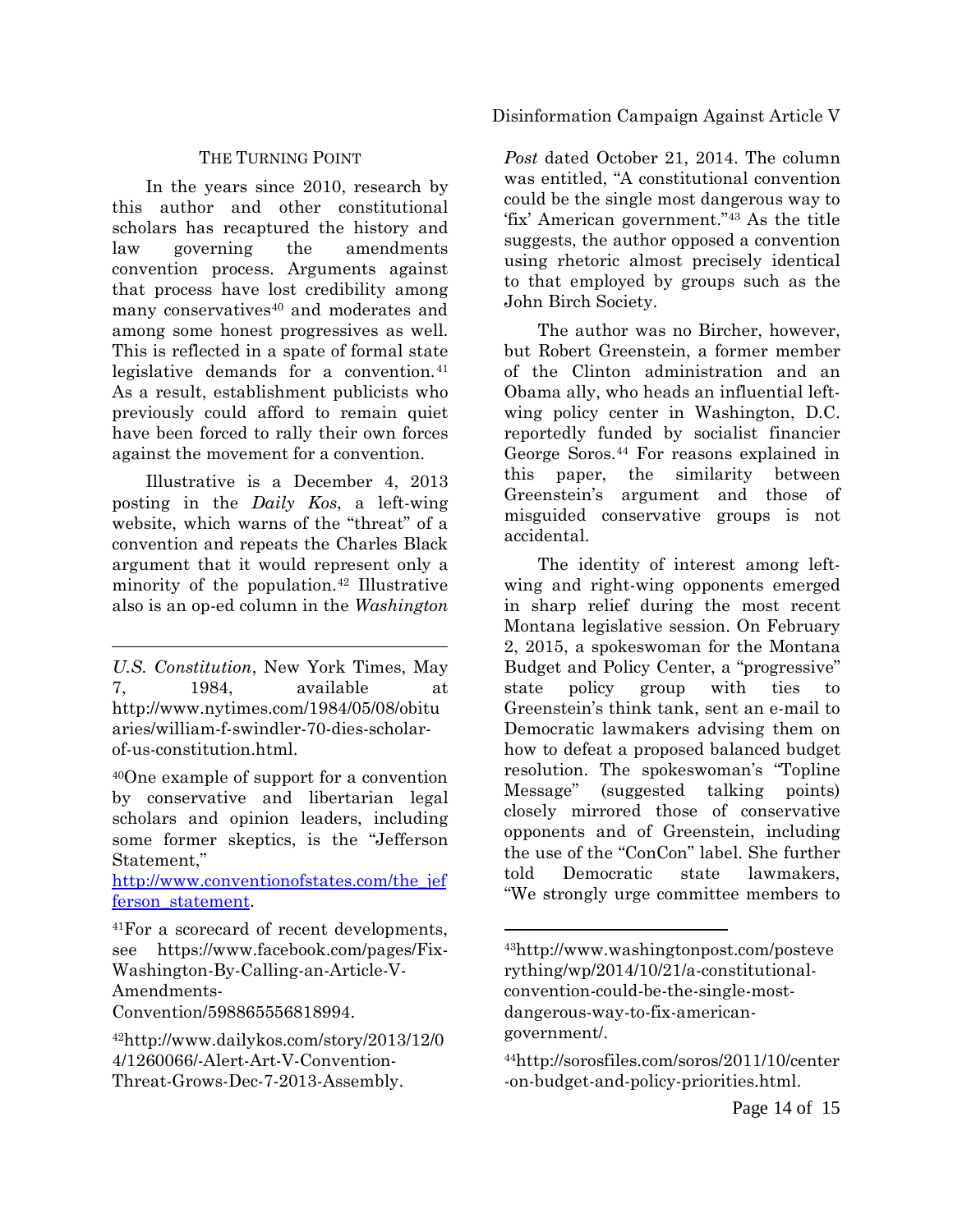#### Disinformation Campaign Against Article V

#### THE TURNING POINT

In the years since 2010, research by this author and other constitutional scholars has recaptured the history and law governing the amendments convention process. Arguments against that process have lost credibility among many conservatives<sup>[40](#page-13-0)</sup> and moderates and among some honest progressives as well. This is reflected in a spate of formal state legislative demands for a convention.<sup>[41](#page-13-1)</sup> As a result, establishment publicists who previously could afford to remain quiet have been forced to rally their own forces against the movement for a convention.

Illustrative is a December 4, 2013 posting in the *Daily Kos*, a left-wing website, which warns of the "threat" of a convention and repeats the Charles Black argument that it would represent only a minority of the population.[42](#page-13-2) Illustrative also is an op-ed column in the *Washington* 

 $\overline{a}$ 

<span id="page-13-0"></span>40One example of support for a convention by conservative and libertarian legal scholars and opinion leaders, including some former skeptics, is the "Jefferson Statement,"

[http://www.conventionofstates.com/the\\_jef](http://www.conventionofstates.com/the_jefferson_statement) [ferson\\_statement.](http://www.conventionofstates.com/the_jefferson_statement)

Convention/598865556818994.

*Post* dated October 21, 2014. The column was entitled, "A constitutional convention could be the single most dangerous way to 'fix' American government."[43](#page-13-3) As the title suggests, the author opposed a convention using rhetoric almost precisely identical to that employed by groups such as the John Birch Society.

The author was no Bircher, however, but Robert Greenstein, a former member of the Clinton administration and an Obama ally, who heads an influential leftwing policy center in Washington, D.C. reportedly funded by socialist financier George Soros.[44](#page-13-4) For reasons explained in this paper, the similarity between Greenstein's argument and those of misguided conservative groups is not accidental.

The identity of interest among leftwing and right-wing opponents emerged in sharp relief during the most recent Montana legislative session. On February 2, 2015, a spokeswoman for the Montana Budget and Policy Center, a "progressive" state policy group with ties to Greenstein's think tank, sent an e-mail to Democratic lawmakers advising them on how to defeat a proposed balanced budget resolution. The spokeswoman's "Topline Message" (suggested talking points) closely mirrored those of conservative opponents and of Greenstein, including the use of the "ConCon" label. She further told Democratic state lawmakers, "We strongly urge committee members to

*U.S. Constitution*, New York Times, May 7, 1984, available at http://www.nytimes.com/1984/05/08/obitu aries/william-f-swindler-70-dies-scholarof-us-constitution.html.

<span id="page-13-3"></span><span id="page-13-1"></span><sup>41</sup>For a scorecard of recent developments, see https://www.facebook.com/pages/Fix-Washington-By-Calling-an-Article-V-Amendments-

<span id="page-13-4"></span><span id="page-13-2"></span><sup>42</sup>http://www.dailykos.com/story/2013/12/0 4/1260066/-Alert-Art-V-Convention-Threat-Grows-Dec-7-2013-Assembly.

<sup>43</sup>http://www.washingtonpost.com/posteve rything/wp/2014/10/21/a-constitutionalconvention-could-be-the-single-mostdangerous-way-to-fix-americangovernment/.

<sup>44</sup>http://sorosfiles.com/soros/2011/10/center -on-budget-and-policy-priorities.html.